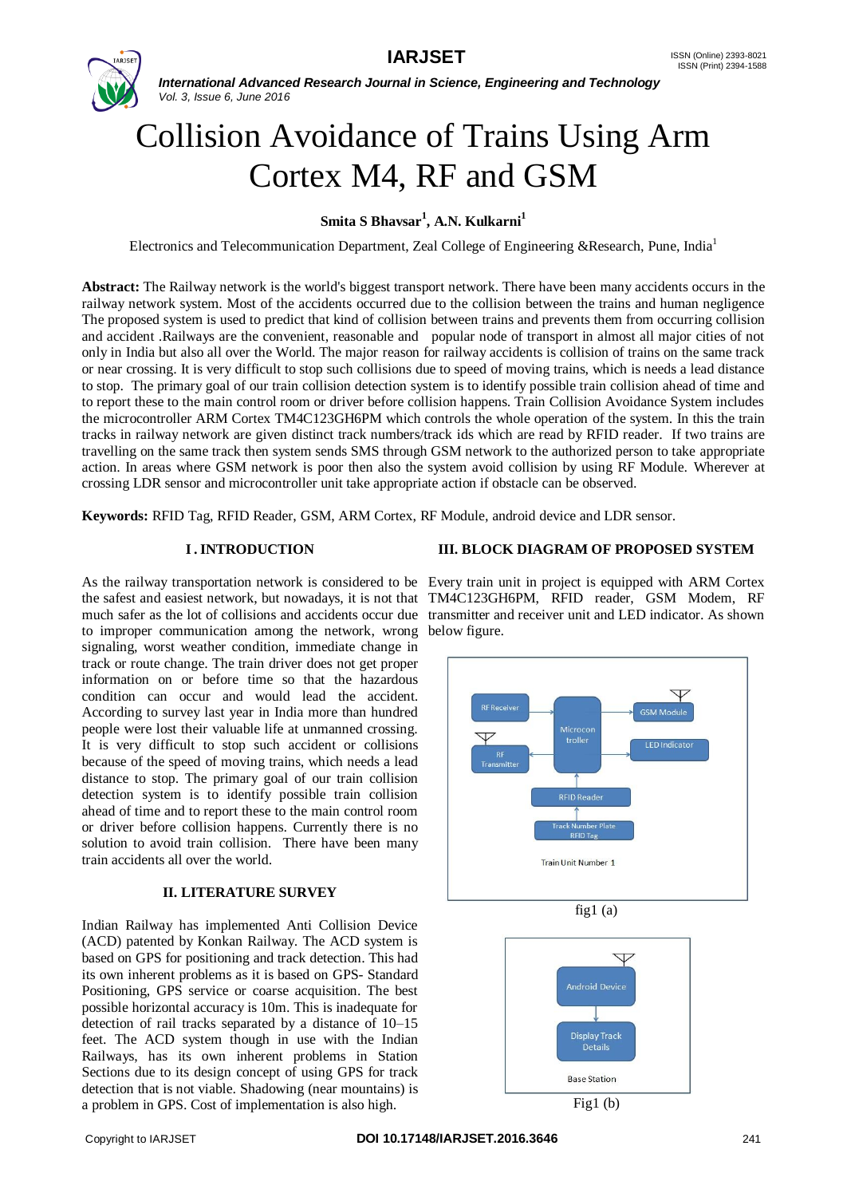

# Collision Avoidance of Trains Using Arm Cortex M4, RF and GSM

**Smita S Bhavsar<sup>1</sup> , A.N. Kulkarni<sup>1</sup>**

Electronics and Telecommunication Department, Zeal College of Engineering &Research, Pune, India<sup>1</sup>

**Abstract:** The Railway network is the world's biggest transport network. There have been many accidents occurs in the railway network system. Most of the accidents occurred due to the collision between the trains and human negligence The proposed system is used to predict that kind of collision between trains and prevents them from occurring collision and accident .Railways are the convenient, reasonable and popular node of transport in almost all major cities of not only in India but also all over the World. The major reason for railway accidents is collision of trains on the same track or near crossing. It is very difficult to stop such collisions due to speed of moving trains, which is needs a lead distance to stop. The primary goal of our train collision detection system is to identify possible train collision ahead of time and to report these to the main control room or driver before collision happens. Train Collision Avoidance System includes the microcontroller ARM Cortex TM4C123GH6PM which controls the whole operation of the system. In this the train tracks in railway network are given distinct track numbers/track ids which are read by RFID reader. If two trains are travelling on the same track then system sends SMS through GSM network to the authorized person to take appropriate action. In areas where GSM network is poor then also the system avoid collision by using RF Module. Wherever at crossing LDR sensor and microcontroller unit take appropriate action if obstacle can be observed.

**Keywords:** RFID Tag, RFID Reader, GSM, ARM Cortex, RF Module, android device and LDR sensor.

#### **I. INTRODUCTION**

As the railway transportation network is considered to be Every train unit in project is equipped with ARM Cortex the safest and easiest network, but nowadays, it is not that TM4C123GH6PM, RFID reader, GSM Modem, RF much safer as the lot of collisions and accidents occur due transmitter and receiver unit and LED indicator. As shown to improper communication among the network, wrong below figure. signaling, worst weather condition, immediate change in track or route change. The train driver does not get proper information on or before time so that the hazardous condition can occur and would lead the accident. According to survey last year in India more than hundred people were lost their valuable life at unmanned crossing. It is very difficult to stop such accident or collisions because of the speed of moving trains, which needs a lead distance to stop. The primary goal of our train collision detection system is to identify possible train collision ahead of time and to report these to the main control room or driver before collision happens. Currently there is no solution to avoid train collision. There have been many train accidents all over the world.

# **II. LITERATURE SURVEY**

Indian Railway has implemented Anti Collision Device (ACD) patented by Konkan Railway. The ACD system is based on GPS for positioning and track detection. This had its own inherent problems as it is based on GPS- Standard Positioning, GPS service or coarse acquisition. The best possible horizontal accuracy is 10m. This is inadequate for detection of rail tracks separated by a distance of 10–15 feet. The ACD system though in use with the Indian Railways, has its own inherent problems in Station Sections due to its design concept of using GPS for track detection that is not viable. Shadowing (near mountains) is a problem in GPS. Cost of implementation is also high.

#### **III. BLOCK DIAGRAM OF PROPOSED SYSTEM**





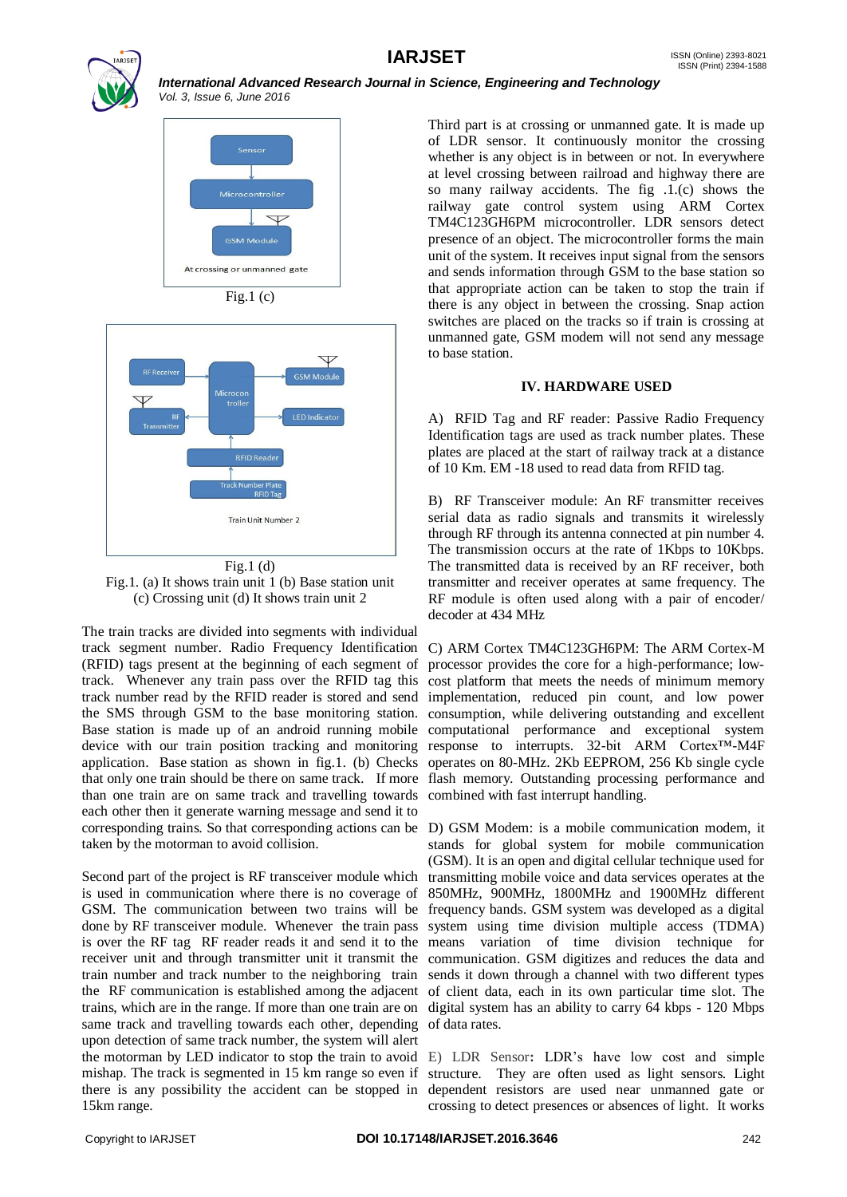





Fig.1 (d) Fig.1. (a) It shows train unit 1 (b) Base station unit (c) Crossing unit (d) It shows train unit 2

The train tracks are divided into segments with individual track segment number. Radio Frequency Identification (RFID) tags present at the beginning of each segment of track. Whenever any train pass over the RFID tag this track number read by the RFID reader is stored and send the SMS through GSM to the base monitoring station. Base station is made up of an android running mobile device with our train position tracking and monitoring application. Base station as shown in fig.1. (b) Checks that only one train should be there on same track. If more than one train are on same track and travelling towards each other then it generate warning message and send it to corresponding trains. So that corresponding actions can be D) GSM Modem: is a mobile communication modem, it taken by the motorman to avoid collision.

Second part of the project is RF transceiver module which is used in communication where there is no coverage of GSM. The communication between two trains will be done by RF transceiver module. Whenever the train pass is over the RF tag RF reader reads it and send it to the means variation of time division technique for receiver unit and through transmitter unit it transmit the communication. GSM digitizes and reduces the data and train number and track number to the neighboring train sends it down through a channel with two different types the RF communication is established among the adjacent of client data, each in its own particular time slot. The trains, which are in the range. If more than one train are on digital system has an ability to carry 64 kbps - 120 Mbps same track and travelling towards each other, depending upon detection of same track number, the system will alert the motorman by LED indicator to stop the train to avoid E) LDR Sensor**:** LDR's have low cost and simple mishap. The track is segmented in 15 km range so even if there is any possibility the accident can be stopped in dependent resistors are used near unmanned gate or 15km range.

Third part is at crossing or unmanned gate. It is made up of LDR sensor. It continuously monitor the crossing whether is any object is in between or not. In everywhere at level crossing between railroad and highway there are so many railway accidents. The fig .1.(c) shows the railway gate control system using ARM Cortex TM4C123GH6PM microcontroller. LDR sensors detect presence of an object. The microcontroller forms the main unit of the system. It receives input signal from the sensors and sends information through GSM to the base station so that appropriate action can be taken to stop the train if there is any object in between the crossing. Snap action switches are placed on the tracks so if train is crossing at unmanned gate, GSM modem will not send any message to base station.

#### **IV. HARDWARE USED**

A) RFID Tag and RF reader: Passive Radio Frequency Identification tags are used as track number plates. These plates are placed at the start of railway track at a distance of 10 Km. EM -18 used to read data from RFID tag.

B) RF Transceiver module: An RF transmitter receives serial data as radio signals and transmits it wirelessly through RF through its antenna connected at pin number 4. The transmission occurs at the rate of 1Kbps to 10Kbps. The transmitted data is received by an RF receiver, both transmitter and receiver operates at same frequency. The RF module is often used along with a pair of encoder/ decoder at 434 MHz

C) ARM Cortex TM4C123GH6PM: The ARM Cortex-M processor provides the core for a high-performance; lowcost platform that meets the needs of minimum memory implementation, reduced pin count, and low power consumption, while delivering outstanding and excellent computational performance and exceptional system response to interrupts. 32-bit ARM Cortex™-M4F operates on 80-MHz. 2Kb EEPROM, 256 Kb single cycle flash memory. Outstanding processing performance and combined with fast interrupt handling.

stands for global system for mobile communication (GSM). It is an open and digital cellular technique used for transmitting mobile voice and data services operates at the 850MHz, 900MHz, 1800MHz and 1900MHz different frequency bands. GSM system was developed as a digital system using time division multiple access (TDMA) of data rates.

structure. They are often used as light sensors. Light crossing to detect presences or absences of light. It works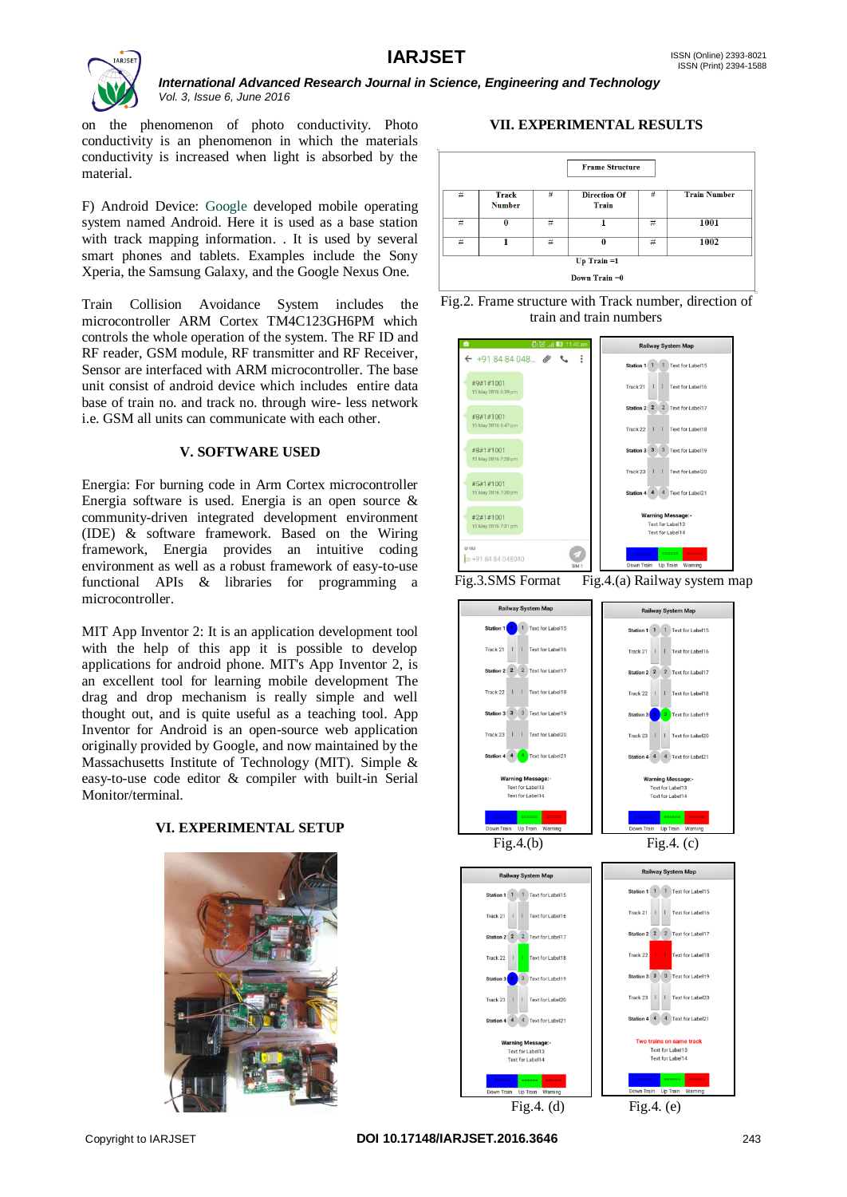

on the phenomenon of photo conductivity. Photo conductivity is an phenomenon in which the materials conductivity is increased when light is absorbed by the material.

F) Android Device: Google developed mobile operating system named Android. Here it is used as a base station with track mapping information. . It is used by several smart phones and tablets. Examples include the Sony Xperia, the Samsung Galaxy, and the Google Nexus One.

Train Collision Avoidance System includes the microcontroller ARM Cortex TM4C123GH6PM which controls the whole operation of the system. The RF ID and RF reader, GSM module, RF transmitter and RF Receiver, Sensor are interfaced with ARM microcontroller. The base unit consist of android device which includes entire data base of train no. and track no. through wire- less network i.e. GSM all units can communicate with each other.

#### **V. SOFTWARE USED**

Energia: For burning code in Arm Cortex microcontroller Energia software is used. Energia is an open source & community-driven integrated development environment (IDE) & software framework. Based on the Wiring framework, Energia provides an intuitive coding environment as well as a robust framework of easy-to-use functional APIs & libraries for programming a microcontroller.

MIT App Inventor 2: It is an application development tool with the help of this app it is possible to develop applications for android phone. MIT's App Inventor 2, is an excellent tool for learning mobile development The drag and drop mechanism is really simple and well thought out, and is quite useful as a teaching tool. App Inventor for Android is an open-source web application originally provided by Google, and now maintained by the Massachusetts Institute of Technology (MIT). Simple & easy-to-use code editor & compiler with built-in Serial Monitor/terminal.

# **VI. EXPERIMENTAL SETUP**



# **VII. EXPERIMENTAL RESULTS**









Fig.4. (d) Fig.4. (e)